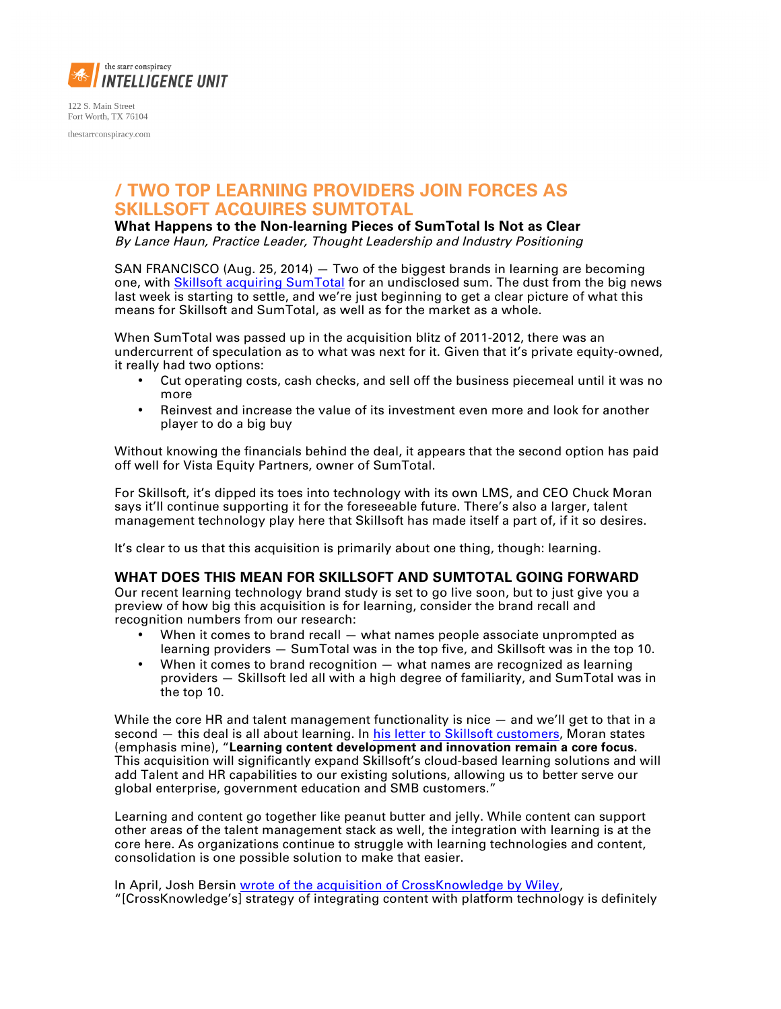

122 S. Main Street Fort Worth, TX 76104 thestarrconspiracy.com

## **/ TWO TOP LEARNING PROVIDERS JOIN FORCES AS SKILLSOFT ACQUIRES SUMTOTAL**

**What Happens to the Non-learning Pieces of SumTotal Is Not as Clear**

By Lance Haun, Practice Leader, Thought Leadership and Industry Positioning

SAN FRANCISCO (Aug. 25, 2014) — Two of the biggest brands in learning are becoming one, wit[h Skillsoft acquiring SumTotal](http://www.skillsoft.com/about/press_room/press_releases/august_21_14_acquisition.asp) for an undisclosed sum. The dust from the big news last week is starting to settle, and we're just beginning to get a clear picture of what this means for Skillsoft and SumTotal, as well as for the market as a whole.

When SumTotal was passed up in the acquisition blitz of 2011-2012, there was an undercurrent of speculation as to what was next for it. Given that it's private equity-owned, it really had two options:

- Cut operating costs, cash checks, and sell off the business piecemeal until it was no more
- Reinvest and increase the value of its investment even more and look for another player to do a big buy

Without knowing the financials behind the deal, it appears that the second option has paid off well for Vista Equity Partners, owner of SumTotal.

For Skillsoft, it's dipped its toes into technology with its own LMS, and CEO Chuck Moran says it'll continue supporting it for the foreseeable future. There's also a larger, talent management technology play here that Skillsoft has made itself a part of, if it so desires.

It's clear to us that this acquisition is primarily about one thing, though: learning.

## **WHAT DOES THIS MEAN FOR SKILLSOFT AND SUMTOTAL GOING FORWARD**

Our recent learning technology brand study is set to go live soon, but to just give you a preview of how big this acquisition is for learning, consider the brand recall and recognition numbers from our research:

- When it comes to brand recall what names people associate unprompted as learning providers — SumTotal was in the top five, and Skillsoft was in the top 10.
- When it comes to brand recognition  $-$  what names are recognized as learning providers — Skillsoft led all with a high degree of familiarity, and SumTotal was in the top 10.

While the core HR and talent management functionality is nice — and we'll get to that in a second – this deal is all about learning. In [his letter to Skillsoft customers,](http://www.skillsoft.com/about/press_room/Skillsoft_Customer_Letter_21Aug2014.pdf) Moran states (emphasis mine), "**Learning content development and innovation remain a core focus.** This acquisition will significantly expand Skillsoft's cloud-based learning solutions and will add Talent and HR capabilities to our existing solutions, allowing us to better serve our global enterprise, government education and SMB customers."

Learning and content go together like peanut butter and jelly. While content can support other areas of the talent management stack as well, the integration with learning is at the core here. As organizations continue to struggle with learning technologies and content, consolidation is one possible solution to make that easier.

In April, Josh Bersin [wrote of the acquisition of CrossKnowledge by Wiley,](http://www.bersin.com/blog/post/Wiley-Acquires-CrossKnowledge-New-Player-in-Corporate-Learning.aspx)  "[CrossKnowledge's] strategy of integrating content with platform technology is definitely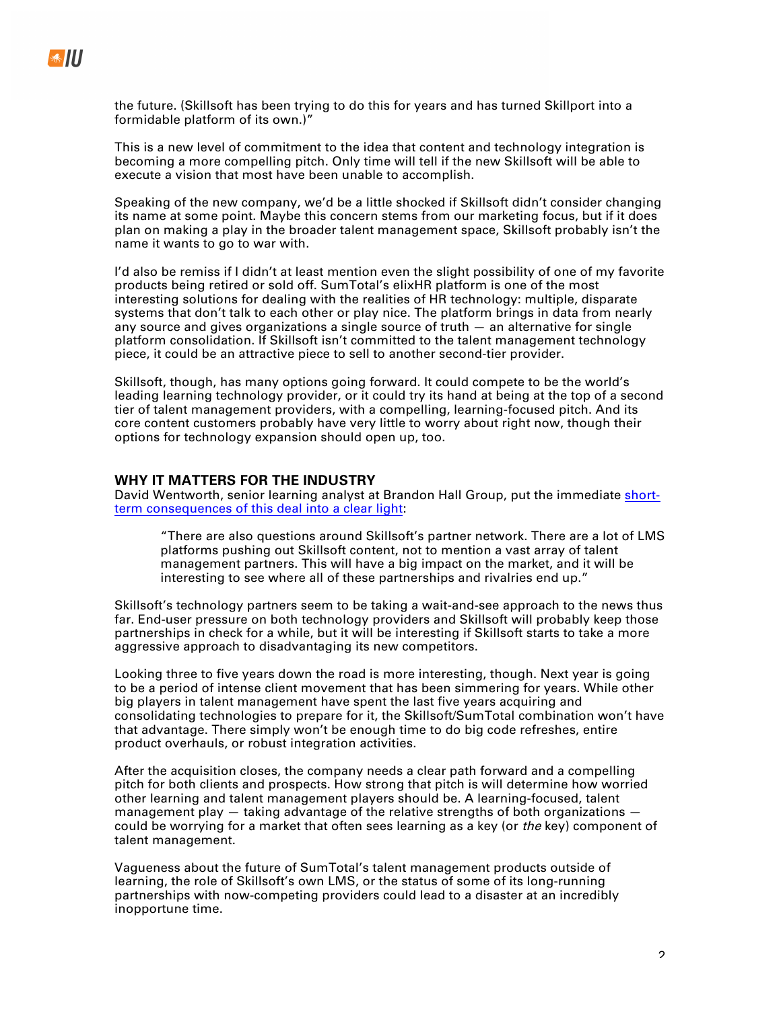the future. (Skillsoft has been trying to do this for years and has turned Skillport into a formidable platform of its own.)"

This is a new level of commitment to the idea that content and technology integration is becoming a more compelling pitch. Only time will tell if the new Skillsoft will be able to execute a vision that most have been unable to accomplish.

Speaking of the new company, we'd be a little shocked if Skillsoft didn't consider changing its name at some point. Maybe this concern stems from our marketing focus, but if it does plan on making a play in the broader talent management space, Skillsoft probably isn't the name it wants to go to war with.

I'd also be remiss if I didn't at least mention even the slight possibility of one of my favorite products being retired or sold off. SumTotal's elixHR platform is one of the most interesting solutions for dealing with the realities of HR technology: multiple, disparate systems that don't talk to each other or play nice. The platform brings in data from nearly any source and gives organizations a single source of truth — an alternative for single platform consolidation. If Skillsoft isn't committed to the talent management technology piece, it could be an attractive piece to sell to another second-tier provider.

Skillsoft, though, has many options going forward. It could compete to be the world's leading learning technology provider, or it could try its hand at being at the top of a second tier of talent management providers, with a compelling, learning-focused pitch. And its core content customers probably have very little to worry about right now, though their options for technology expansion should open up, too.

## **WHY IT MATTERS FOR THE INDUSTRY**

David Wentworth, senior learning analyst at Brandon Hall Group, put the immediat[e short](http://www.brandonhall.com/blogs/skillsoft-acquires-sumtotal-what-does-it-mean/)[term consequences of this deal into a clear light:](http://www.brandonhall.com/blogs/skillsoft-acquires-sumtotal-what-does-it-mean/)

"There are also questions around Skillsoft's partner network. There are a lot of LMS platforms pushing out Skillsoft content, not to mention a vast array of talent management partners. This will have a big impact on the market, and it will be interesting to see where all of these partnerships and rivalries end up."

Skillsoft's technology partners seem to be taking a wait-and-see approach to the news thus far. End-user pressure on both technology providers and Skillsoft will probably keep those partnerships in check for a while, but it will be interesting if Skillsoft starts to take a more aggressive approach to disadvantaging its new competitors.

Looking three to five years down the road is more interesting, though. Next year is going to be a period of intense client movement that has been simmering for years. While other big players in talent management have spent the last five years acquiring and consolidating technologies to prepare for it, the Skillsoft/SumTotal combination won't have that advantage. There simply won't be enough time to do big code refreshes, entire product overhauls, or robust integration activities.

After the acquisition closes, the company needs a clear path forward and a compelling pitch for both clients and prospects. How strong that pitch is will determine how worried other learning and talent management players should be. A learning-focused, talent management play  $-$  taking advantage of the relative strengths of both organizations  $$ could be worrying for a market that often sees learning as a key (or the key) component of talent management.

Vagueness about the future of SumTotal's talent management products outside of learning, the role of Skillsoft's own LMS, or the status of some of its long-running partnerships with now-competing providers could lead to a disaster at an incredibly inopportune time.